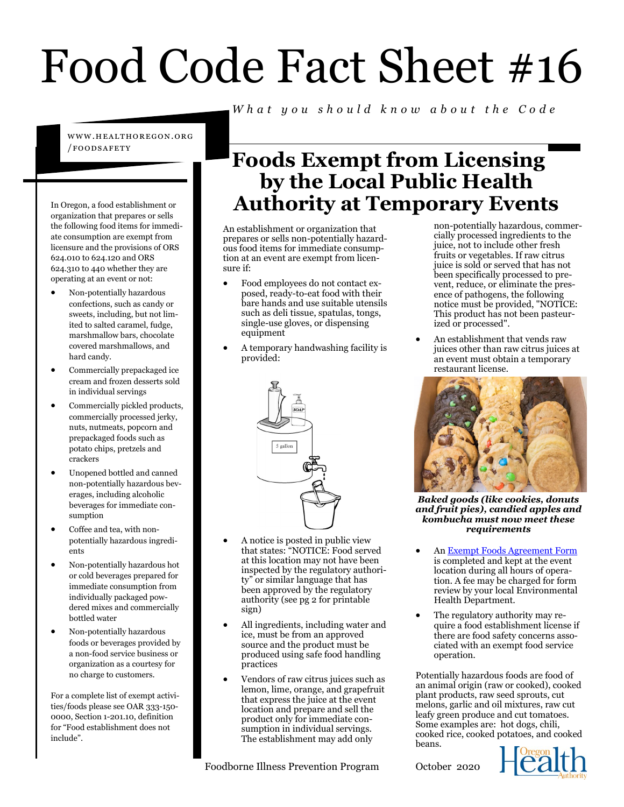# Food Code Fact Sheet #16

www.healtho regon.org /foods afety

In Oregon, a food establishment or organization that prepares or sells the following food items for immediate consumption are exempt from licensure and the provisions of ORS 624.010 to 624.120 and ORS 624.310 to 440 whether they are operating at an event or not:

- Non-potentially hazardous confections, such as candy or sweets, including, but not limited to salted caramel, fudge, marshmallow bars, chocolate covered marshmallows, and hard candy.
- Commercially prepackaged ice cream and frozen desserts sold in individual servings
- Commercially pickled products, commercially processed jerky, nuts, nutmeats, popcorn and prepackaged foods such as potato chips, pretzels and crackers
- Unopened bottled and canned non-potentially hazardous beverages, including alcoholic beverages for immediate consumption
- Coffee and tea, with nonpotentially hazardous ingredients
- Non-potentially hazardous hot or cold beverages prepared for immediate consumption from individually packaged powdered mixes and commercially bottled water
- Non-potentially hazardous foods or beverages provided by a non-food service business or organization as a courtesy for no charge to customers.

For a complete list of exempt activities/foods please see OAR 333-150- 0000, Section 1-201.10, definition for "Food establishment does not include".

### **Foods Exempt from Licensing by the Local Public Health Authority at Temporary Events**

*W h a t y o u s h o u l d k n o w a b o u t t h e C o d e*

An establishment or organization that prepares or sells non-potentially hazardous food items for immediate consumption at an event are exempt from licensure if:

- Food employees do not contact exposed, ready-to-eat food with their bare hands and use suitable utensils such as deli tissue, spatulas, tongs, single-use gloves, or dispensing equipment
- A temporary handwashing facility is provided:



- A notice is posted in public view that states: "NOTICE: Food served at this location may not have been inspected by the regulatory authority" or similar language that has been approved by the regulatory authority (see pg 2 for printable sign)
- All ingredients, including water and ice, must be from an approved source and the product must be produced using safe food handling practices
- Vendors of raw citrus juices such as lemon, lime, orange, and grapefruit that express the juice at the event location and prepare and sell the product only for immediate consumption in individual servings. The establishment may add only

Foodborne Illness Prevention Program

non-potentially hazardous, commercially processed ingredients to the juice, not to include other fresh fruits or vegetables. If raw citrus juice is sold or served that has not been specifically processed to prevent, reduce, or eliminate the presence of pathogens, the following notice must be provided, "NOTICE: This product has not been pasteurized or processed".

• An establishment that vends raw juices other than raw citrus juices at an event must obtain a temporary restaurant license.



*Baked goods (like cookies, donuts and fruit pies), candied apples and kombucha must now meet these requirements* 

- An Exempt Foods Agreement Form is completed and kept at the event location during all hours of operation. A fee may be charged for form review by your local Environmental Health Department.
- The regulatory authority may require a food establishment license if there are food safety concerns associated with an exempt food service operation.

Potentially hazardous foods are food of an animal origin (raw or cooked), cooked plant products, raw seed sprouts, cut melons, garlic and oil mixtures, raw cut leafy green produce and cut tomatoes. Some examples are: hot dogs, chili, cooked rice, cooked potatoes, and cooked beans.

October 2020